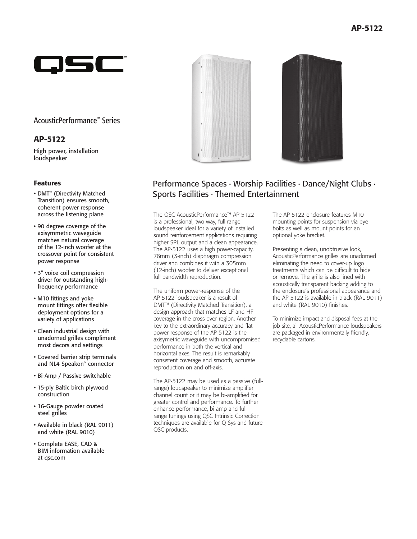

## AcousticPerformance™ Series

## AP-5122

High power, installation loudspeaker

### Features

- DMT™ (Directivity Matched Transition) ensures smooth, coherent power response across the listening plane
- 90 degree coverage of the axisymmetric waveguide matches natural coverage of the 12-inch woofer at the crossover point for consistent power response
- 3" voice coil compression driver for outstanding highfrequency performance
- M10 fittings and yoke mount fittings offer flexible deployment options for a variety of applications
- Clean industrial design with unadorned grilles compliment most decors and settings
- Covered barrier strip terminals and NL4 Speakon™ connector
- Bi-Amp / Passive switchable
- 15-ply Baltic birch plywood construction
- 16-Gauge powder coated steel grilles
- Available in black (RAL 9011) and white (RAL 9010)
- Complete EASE, CAD & BIM information available at qsc.com



# Performance Spaces ∙ Worship Facilities ∙ Dance/Night Clubs ∙ Sports Facilities ∙ Themed Entertainment

The QSC AcousticPerformance™ AP-5122 is a professional, two-way, full-range loudspeaker ideal for a variety of installed sound reinforcement applications requiring higher SPL output and a clean appearance. The AP-5122 uses a high power-capacity, 76mm (3-inch) diaphragm compression driver and combines it with a 305mm (12-inch) woofer to deliver exceptional full bandwidth reproduction.

The uniform power-response of the AP-5122 loudspeaker is a result of DMT™ (Directivity Matched Transition), a design approach that matches LF and HF coverage in the cross-over region. Another key to the extraordinary accuracy and flat power response of the AP-5122 is the axisymetric waveguide with uncompromised performance in both the vertical and horizontal axes. The result is remarkably consistent coverage and smooth, accurate reproduction on and off-axis.

The AP-5122 may be used as a passive (fullrange) loudspeaker to minimize amplifier channel count or it may be bi-amplified for greater control and performance. To further enhance performance, bi-amp and fullrange tunings using QSC Intrinsic Correction techniques are available for Q-Sys and future QSC products.

The AP-5122 enclosure features M10 mounting points for suspension via eyebolts as well as mount points for an optional yoke bracket.

Presenting a clean, unobtrusive look, AcousticPerformance grilles are unadorned eliminating the need to cover-up logo treatments which can be difficult to hide or remove. The grille is also lined with acoustically transparent backing adding to the enclosure's professional appearance and the AP-5122 is available in black (RAL 9011) and white (RAL 9010) finishes.

To minimize impact and disposal fees at the job site, all AcousticPerformance loudspeakers are packaged in environmentally friendly, recyclable cartons.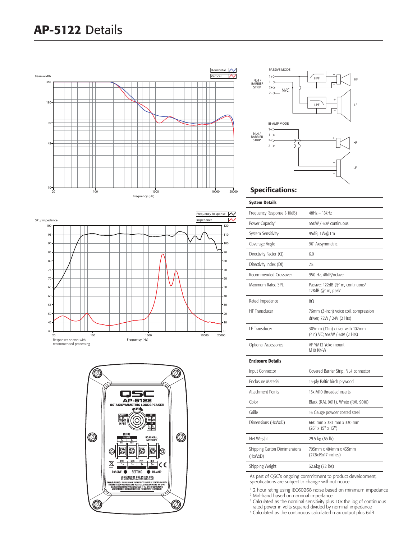



#### Specifications:

System Details

| Frequency Response (-10dB)              | 48Hz – 18kHz                                                                |
|-----------------------------------------|-----------------------------------------------------------------------------|
| Power Capacity <sup>1</sup>             | 550W / 60V continuous                                                       |
| System Sensitivity <sup>2</sup>         | 95dB, 1W@1m                                                                 |
| Coverage Angle                          | 90° Axisymmetric                                                            |
| Directivity Factor (Q)                  | 6.0                                                                         |
| Directivity Index (DI)                  | 7.8                                                                         |
| Recommended Crossover                   | 950 Hz, 48dB/octave                                                         |
| Maximum Rated SPL                       | Passive: 122dB @1m, continuous <sup>3</sup><br>128dB @1m, peak <sup>4</sup> |
| Rated Impedance                         | 8O                                                                          |
| <b>HF Transducer</b>                    | 76mm (3-inch) voice coil, compression<br>driver; 72W / 24V (2 Hrs)          |
| <b>IF Transducer</b>                    | 305mm (12in) driver with 102mm<br>(4in) VC; 550W / 60V (2 Hrs)              |
| Optional Accessories                    | AP-YM12 Yoke mount<br>M10 Kit-W                                             |
| <b>Enclosure Details</b>                |                                                                             |
| Input Connector                         | Covered Barrier Strip, NL4 connector                                        |
| <b>Enclosure Material</b>               | 15-ply Baltic birch plywood                                                 |
| <b>Attachment Points</b>                | 15x M10 threaded inserts                                                    |
| Color                                   | Black (RAL 9011), White (RAL 9010)                                          |
| Grille                                  | 16 Gauge powder coated steel                                                |
| Dimensions (HxWxD)                      | 660 mm x 381 mm x 330 mm<br>(26" x 15" x 13")                               |
| Net Weight                              | 29.5 kg (65 lb)                                                             |
| Shipping Carton Dimimensions<br>(HxWxD) | 705mm x 484mm x 435mm<br>(27.8x19x17-inches)                                |
| Shipping Weight                         | 32.6kg (72 lbs)                                                             |
| $\mathcal{L}$ $\mathcal{L}$<br>٠.       |                                                                             |

As part of QSC's ongoing commitment to product development, specifications are subject to change without notice.

<sup>1</sup> 2 hour rating using IEC60268 noise based on minimum impedance 2 Mid-band based on nominal impedance

<sup>3</sup> Calculated as the nominal sensitivity plus 10x the log of continuous rated power in volts squared divided by nominal impedance

4 Calculated as the continuous calculated max output plus 6dB



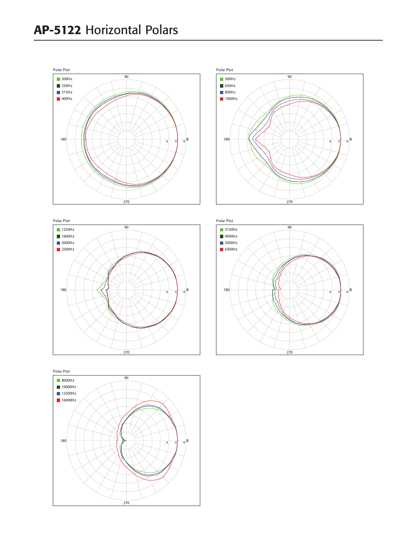







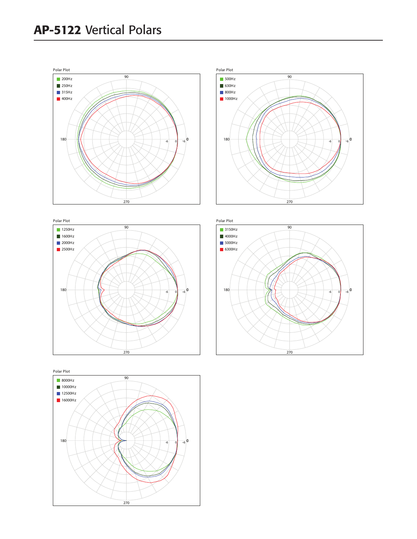